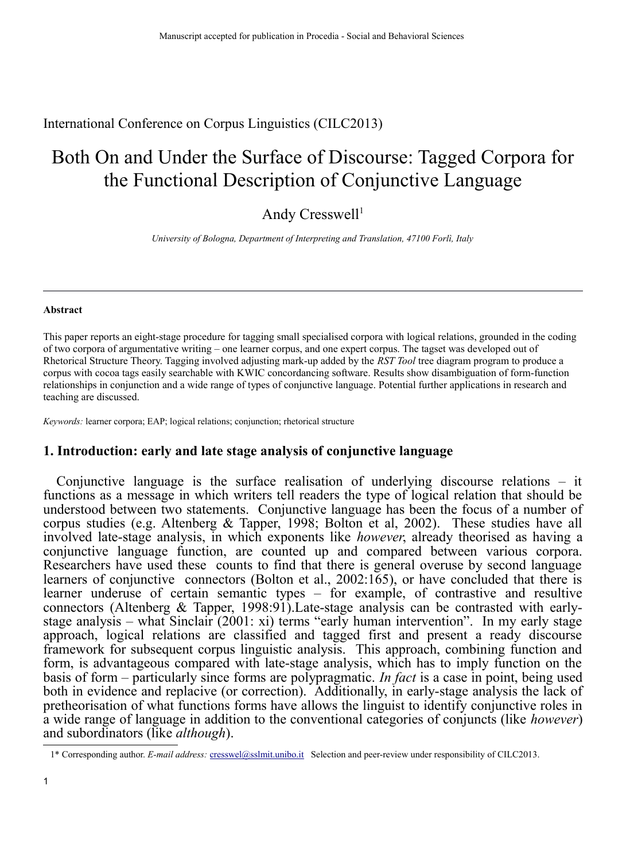# International Conference on Corpus Linguistics (CILC2013)

# Both On and Under the Surface of Discourse: Tagged Corpora for the Functional Description of Conjunctive Language

# Andy Cresswell<sup>[1](#page-0-0)</sup>

*University of Bologna, Department of Interpreting and Translation, 47100 Forlì, Italy*

#### **Abstract**

This paper reports an eight-stage procedure for tagging small specialised corpora with logical relations, grounded in the coding of two corpora of argumentative writing – one learner corpus, and one expert corpus. The tagset was developed out of Rhetorical Structure Theory. Tagging involved adjusting mark-up added by the *RST Tool* tree diagram program to produce a corpus with cocoa tags easily searchable with KWIC concordancing software. Results show disambiguation of form-function relationships in conjunction and a wide range of types of conjunctive language. Potential further applications in research and teaching are discussed.

*Keywords:* learner corpora; EAP; logical relations; conjunction; rhetorical structure

#### **1. Introduction: early and late stage analysis of conjunctive language**

Conjunctive language is the surface realisation of underlying discourse relations – it functions as a message in which writers tell readers the type of logical relation that should be understood between two statements. Conjunctive language has been the focus of a number of corpus studies (e.g. Altenberg & Tapper, 1998; Bolton et al, 2002). These studies have all involved late-stage analysis, in which exponents like *however*, already theorised as having a conjunctive language function, are counted up and compared between various corpora. Researchers have used these counts to find that there is general overuse by second language learners of conjunctive connectors (Bolton et al., 2002:165), or have concluded that there is learner underuse of certain semantic types – for example, of contrastive and resultive connectors (Altenberg & Tapper, 1998:91).Late-stage analysis can be contrasted with earlystage analysis – what Sinclair (2001: xi) terms "early human intervention". In my early stage approach, logical relations are classified and tagged first and present a ready discourse framework for subsequent corpus linguistic analysis. This approach, combining function and form, is advantageous compared with late-stage analysis, which has to imply function on the basis of form – particularly since forms are polypragmatic. *In fact* is a case in point, being used both in evidence and replacive (or correction). Additionally, in early-stage analysis the lack of pretheorisation of what functions forms have allows the linguist to identify conjunctive roles in a wide range of language in addition to the conventional categories of conjuncts (like *however*) and subordinators (like *although*).

<span id="page-0-0"></span><sup>1\*</sup> Corresponding author. *E-mail address:* [cresswel@sslmit.unibo.it](mailto:cresswel@sslmit.unibo.it) Selection and peer-review under responsibility of CILC2013.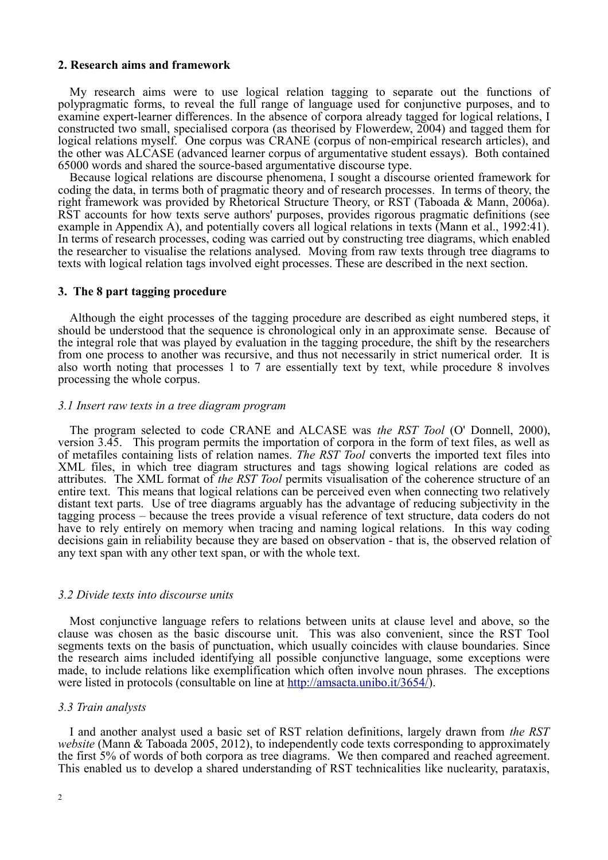### **2. Research aims and framework**

My research aims were to use logical relation tagging to separate out the functions of polypragmatic forms, to reveal the full range of language used for conjunctive purposes, and to examine expert-learner differences. In the absence of corpora already tagged for logical relations, I constructed two small, specialised corpora (as theorised by Flowerdew, 2004) and tagged them for logical relations myself. One corpus was CRANE (corpus of non-empirical research articles), and the other was ALCASE (advanced learner corpus of argumentative student essays). Both contained 65000 words and shared the source-based argumentative discourse type.

Because logical relations are discourse phenomena, I sought a discourse oriented framework for coding the data, in terms both of pragmatic theory and of research processes. In terms of theory, the right framework was provided by Rhetorical Structure Theory, or RST (Taboada & Mann, 2006a). RST accounts for how texts serve authors' purposes, provides rigorous pragmatic definitions (see example in Appendix A), and potentially covers all logical relations in texts (Mann et al., 1992:41). In terms of research processes, coding was carried out by constructing tree diagrams, which enabled the researcher to visualise the relations analysed. Moving from raw texts through tree diagrams to texts with logical relation tags involved eight processes. These are described in the next section.

#### **3. The 8 part tagging procedure**

Although the eight processes of the tagging procedure are described as eight numbered steps, it should be understood that the sequence is chronological only in an approximate sense. Because of the integral role that was played by evaluation in the tagging procedure, the shift by the researchers from one process to another was recursive, and thus not necessarily in strict numerical order. It is also worth noting that processes 1 to 7 are essentially text by text, while procedure 8 involves processing the whole corpus.

#### *3.1 Insert raw texts in a tree diagram program*

The program selected to code CRANE and ALCASE was *the RST Tool* (O' Donnell, 2000), version 3.45. This program permits the importation of corpora in the form of text files, as well as of metafiles containing lists of relation names. *The RST Tool* converts the imported text files into XML files, in which tree diagram structures and tags showing logical relations are coded as attributes. The XML format of *the RST Tool* permits visualisation of the coherence structure of an entire text. This means that logical relations can be perceived even when connecting two relatively distant text parts. Use of tree diagrams arguably has the advantage of reducing subjectivity in the tagging process – because the trees provide a visual reference of text structure, data coders do not have to rely entirely on memory when tracing and naming logical relations. In this way coding decisions gain in reliability because they are based on observation - that is, the observed relation of any text span with any other text span, or with the whole text.

#### *3.2 Divide texts into discourse units*

Most conjunctive language refers to relations between units at clause level and above, so the clause was chosen as the basic discourse unit. This was also convenient, since the RST Tool segments texts on the basis of punctuation, which usually coincides with clause boundaries. Since the research aims included identifying all possible conjunctive language, some exceptions were made, to include relations like exemplification which often involve noun phrases. The exceptions were listed in protocols (consultable on line at [http://amsacta.unibo.it/3654/\)](http://amsacta.unibo.it/3654/).

#### *3.3 Train analysts*

I and another analyst used a basic set of RST relation definitions, largely drawn from *the RST website* (Mann & Taboada 2005, 2012), to independently code texts corresponding to approximately the first 5% of words of both corpora as tree diagrams. We then compared and reached agreement. This enabled us to develop a shared understanding of RST technicalities like nuclearity, parataxis,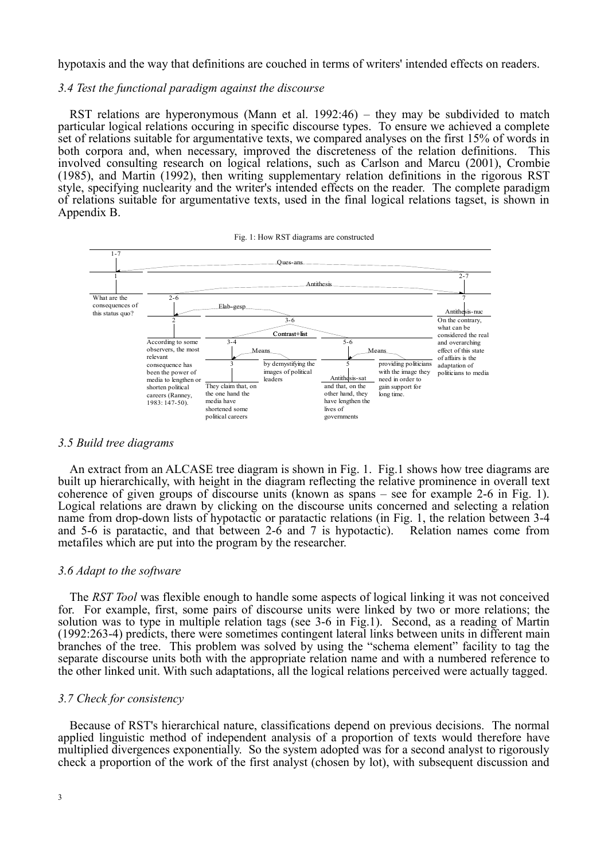hypotaxis and the way that definitions are couched in terms of writers' intended effects on readers.

#### *3.4 Test the functional paradigm against the discourse*

RST relations are hyperonymous (Mann et al. 1992:46) – they may be subdivided to match particular logical relations occuring in specific discourse types. To ensure we achieved a complete set of relations suitable for argumentative texts, we compared analyses on the first 15% of words in both corpora and, when necessary, improved the discreteness of the relation definitions. This involved consulting research on logical relations, such as Carlson and Marcu (2001), Crombie (1985), and Martin (1992), then writing supplementary relation definitions in the rigorous RST style, specifying nuclearity and the writer's intended effects on the reader. The complete paradigm of relations suitable for argumentative texts, used in the final logical relations tagset, is shown in Appendix B.



#### *3.5 Build tree diagrams*

An extract from an ALCASE tree diagram is shown in Fig. 1. Fig.1 shows how tree diagrams are built up hierarchically, with height in the diagram reflecting the relative prominence in overall text coherence of given groups of discourse units (known as spans – see for example 2-6 in Fig. 1). Logical relations are drawn by clicking on the discourse units concerned and selecting a relation name from drop-down lists of hypotactic or paratactic relations (in Fig. 1, the relation between 3-4 and 5-6 is paratactic, and that between 2-6 and 7 is hypotactic). Relation names come from and 5-6 is paratactic, and that between  $2-\overline{6}$  and 7 is hypotactic). metafiles which are put into the program by the researcher.

#### *3.6 Adapt to the software*

The *RST Tool* was flexible enough to handle some aspects of logical linking it was not conceived for. For example, first, some pairs of discourse units were linked by two or more relations; the solution was to type in multiple relation tags (see 3-6 in Fig.1). Second, as a reading of Martin (1992:263-4) predicts, there were sometimes contingent lateral links between units in different main branches of the tree. This problem was solved by using the "schema element" facility to tag the separate discourse units both with the appropriate relation name and with a numbered reference to the other linked unit. With such adaptations, all the logical relations perceived were actually tagged.

#### *3.7 Check for consistency*

Because of RST's hierarchical nature, classifications depend on previous decisions. The normal applied linguistic method of independent analysis of a proportion of texts would therefore have multiplied divergences exponentially. So the system adopted was for a second analyst to rigorously check a proportion of the work of the first analyst (chosen by lot), with subsequent discussion and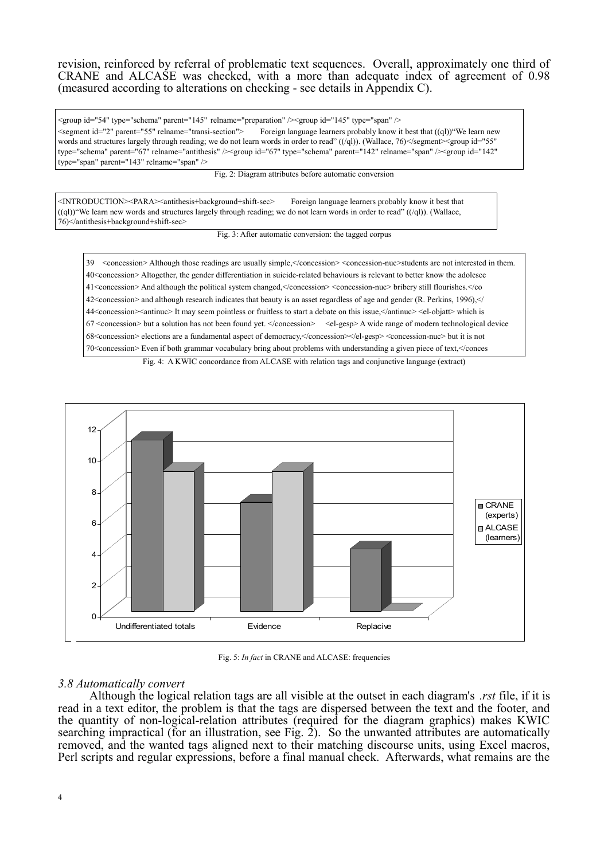revision, reinforced by referral of problematic text sequences. Overall, approximately one third of CRANE and ALCASE was checked, with a more than adequate index of agreement of 0.98 (measured according to alterations on checking - see details in Appendix C).

<group id="54" type="schema" parent="145" relname="preparation" /><group id="145" type="span" /> <segment id="2" parent="55" relname="transi-section"> Foreign language learners probably know it best that ((ql))"We learn new words and structures largely through reading; we do not learn words in order to read" ((/ql)). (Wallace, 76)  $\leq$  segment $\leq$  sroup id="55" type="schema" parent="67" relname="antithesis" /><group id="67" type="schema" parent="142" relname="span" /><group id="142" type="span" parent="143" relname="span" />

Fig. 2: Diagram attributes before automatic conversion

<INTRODUCTION><PARA><antithesis+background+shift-sec> Foreign language learners probably know it best that  $((d))$ "We learn new words and structures largely through reading; we do not learn words in order to read"  $((d))$ . (Wallace, 76)</antithesis+background+shift-sec>

Fig. 3: After automatic conversion: the tagged corpus

39 <concession> Although those readings are usually simple,</concession> <concession-nuc>students are not interested in them. 40<concession> Altogether, the gender differentiation in suicide-related behaviours is relevant to better know the adolesce 41<concession> And although the political system changed,</concession> <concession-nuc> bribery still flourishes.</co 42<concession> and although research indicates that beauty is an asset regardless of age and gender (R. Perkins, 1996), $\triangleleft$ 44<concession><antinuc> It may seem pointless or fruitless to start a debate on this issue,</antinuc> <el-objatt> which is  $67$  <concession> but a solution has not been found yet.  $\triangle$ /concession> <el-gesp> A wide range of modern technological device 68<concession> elections are a fundamental aspect of democracy,</concession></el-gesp> <concession-nuc> but it is not 70<concession> Even if both grammar vocabulary bring about problems with understanding a given piece of text,</conces

Fig. 4: A KWIC concordance from ALCASE with relation tags and conjunctive language (extract)



Fig. 5: *In fact* in CRANE and ALCASE: frequencies

### *3.8 Automatically convert*

 Although the logical relation tags are all visible at the outset in each diagram's *.rst* file, if it is read in a text editor, the problem is that the tags are dispersed between the text and the footer, and the quantity of non-logical-relation attributes (required for the diagram graphics) makes KWIC searching impractical (for an illustration, see Fig. 2). So the unwanted attributes are automatically removed, and the wanted tags aligned next to their matching discourse units, using Excel macros, Perl scripts and regular expressions, before a final manual check. Afterwards, what remains are the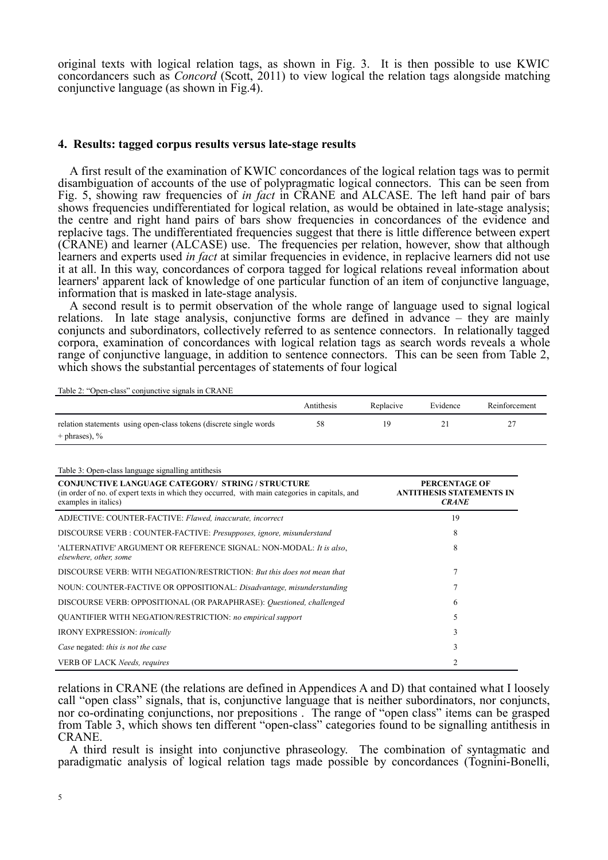original texts with logical relation tags, as shown in Fig. 3. It is then possible to use KWIC concordancers such as *Concord* (Scott, 2011) to view logical the relation tags alongside matching conjunctive language (as shown in Fig.4).

### **4. Results: tagged corpus results versus late-stage results**

A first result of the examination of KWIC concordances of the logical relation tags was to permit disambiguation of accounts of the use of polypragmatic logical connectors. This can be seen from Fig. 5, showing raw frequencies of *in fact* in CRANE and ALCASE. The left hand pair of bars shows frequencies undifferentiated for logical relation, as would be obtained in late-stage analysis; the centre and right hand pairs of bars show frequencies in concordances of the evidence and replacive tags. The undifferentiated frequencies suggest that there is little difference between expert (CRANE) and learner (ALCASE) use. The frequencies per relation, however, show that although learners and experts used *in fact* at similar frequencies in evidence, in replacive learners did not use it at all. In this way, concordances of corpora tagged for logical relations reveal information about learners' apparent lack of knowledge of one particular function of an item of conjunctive language, information that is masked in late-stage analysis.

A second result is to permit observation of the whole range of language used to signal logical relations. In late stage analysis, conjunctive forms are defined in advance – they are mainly conjuncts and subordinators, collectively referred to as sentence connectors. In relationally tagged corpora, examination of concordances with logical relation tags as search words reveals a whole range of conjunctive language, in addition to sentence connectors. This can be seen from Table 2, which shows the substantial percentages of statements of four logical

Table 2: "Open-class" conjunctive signals in CRANE

|                                                                    | Antithesis | Replacive | Evidence | Reinforcement |
|--------------------------------------------------------------------|------------|-----------|----------|---------------|
| relation statements using open-class tokens (discrete single words | 58         |           |          |               |
| $+$ phrases), $\%$                                                 |            |           |          |               |

Table 3: Open-class language signalling antithesis

| raore 5. Open enass naiguage signumig unitarests<br><b>CONJUNCTIVE LANGUAGE CATEGORY/ STRING/STRUCTURE</b><br>(in order of no. of expert texts in which they occurred, with main categories in capitals, and<br>examples in <i>italics</i> ) | PERCENTAGE OF<br>ANTITHESIS STATEMENTS IN<br><b>CRANE</b> |  |
|----------------------------------------------------------------------------------------------------------------------------------------------------------------------------------------------------------------------------------------------|-----------------------------------------------------------|--|
| ADJECTIVE: COUNTER-FACTIVE: Flawed, inaccurate, incorrect                                                                                                                                                                                    | 19                                                        |  |
| DISCOURSE VERB : COUNTER-FACTIVE: Presupposes, ignore, misunderstand                                                                                                                                                                         | 8                                                         |  |
| 'ALTERNATIVE' ARGUMENT OR REFERENCE SIGNAL: NON-MODAL: It is also,<br>elsewhere, other, some                                                                                                                                                 | 8                                                         |  |
| DISCOURSE VERB: WITH NEGATION/RESTRICTION: But this does not mean that                                                                                                                                                                       |                                                           |  |
| NOUN: COUNTER-FACTIVE OR OPPOSITIONAL: Disadvantage, misunderstanding                                                                                                                                                                        |                                                           |  |
| DISCOURSE VERB: OPPOSITIONAL (OR PARAPHRASE): Ouestioned, challenged                                                                                                                                                                         | 6                                                         |  |
| <b>QUANTIFIER WITH NEGATION/RESTRICTION:</b> no empirical support                                                                                                                                                                            |                                                           |  |
| <b>IRONY EXPRESSION</b> : <i>ironically</i>                                                                                                                                                                                                  |                                                           |  |
| Case negated: this is not the case                                                                                                                                                                                                           | 3                                                         |  |
| <b>VERB OF LACK Needs, requires</b>                                                                                                                                                                                                          |                                                           |  |

relations in CRANE (the relations are defined in Appendices A and D) that contained what I loosely call "open class" signals, that is, conjunctive language that is neither subordinators, nor conjuncts, nor co-ordinating conjunctions, nor prepositions . The range of "open class" items can be grasped from Table 3, which shows ten different "open-class" categories found to be signalling antithesis in CRANE.

A third result is insight into conjunctive phraseology. The combination of syntagmatic and paradigmatic analysis of logical relation tags made possible by concordances (Tognini-Bonelli,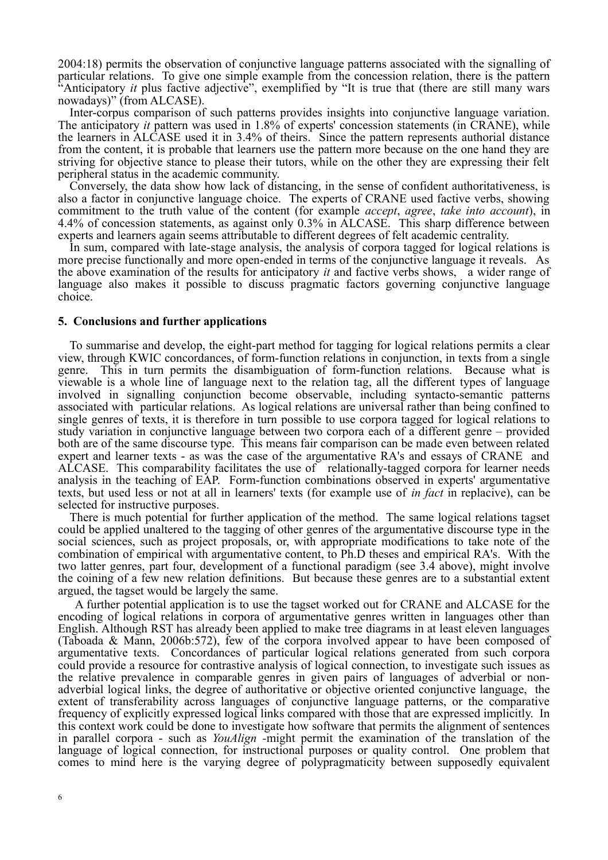2004:18) permits the observation of conjunctive language patterns associated with the signalling of particular relations. To give one simple example from the concession relation, there is the pattern "Anticipatory *it* plus factive adjective", exemplified by "It is true that (there are still many wars nowadays)" (from ALCASE).

Inter-corpus comparison of such patterns provides insights into conjunctive language variation. The anticipatory *it* pattern was used in 1.8% of experts' concession statements (in CRANE), while the learners in ALCASE used it in 3.4% of theirs. Since the pattern represents authorial distance from the content, it is probable that learners use the pattern more because on the one hand they are striving for objective stance to please their tutors, while on the other they are expressing their felt peripheral status in the academic community.

Conversely, the data show how lack of distancing, in the sense of confident authoritativeness, is also a factor in conjunctive language choice. The experts of CRANE used factive verbs, showing commitment to the truth value of the content (for example *accept*, *agree*, *take into account*), in 4.4% of concession statements, as against only 0.3% in ALCASE. This sharp difference between experts and learners again seems attributable to different degrees of felt academic centrality.

In sum, compared with late-stage analysis, the analysis of corpora tagged for logical relations is more precise functionally and more open-ended in terms of the conjunctive language it reveals. As the above examination of the results for anticipatory *it* and factive verbs shows, a wider range of language also makes it possible to discuss pragmatic factors governing conjunctive language choice.

## **5. Conclusions and further applications**

To summarise and develop, the eight-part method for tagging for logical relations permits a clear view, through KWIC concordances, of form-function relations in conjunction, in texts from a single genre. This in turn permits the disambiguation of form-function relations. Because what is viewable is a whole line of language next to the relation tag, all the different types of language involved in signalling conjunction become observable, including syntacto-semantic patterns associated with particular relations. As logical relations are universal rather than being confined to single genres of texts, it is therefore in turn possible to use corpora tagged for logical relations to study variation in conjunctive language between two corpora each of a different genre – provided both are of the same discourse type. This means fair comparison can be made even between related expert and learner texts - as was the case of the argumentative RA's and essays of CRANE and ALCASE. This comparability facilitates the use of relationally-tagged corpora for learner needs analysis in the teaching of EAP. Form-function combinations observed in experts' argumentative texts, but used less or not at all in learners' texts (for example use of *in fact* in replacive), can be selected for instructive purposes.

There is much potential for further application of the method. The same logical relations tagset could be applied unaltered to the tagging of other genres of the argumentative discourse type in the social sciences, such as project proposals, or, with appropriate modifications to take note of the combination of empirical with argumentative content, to Ph.D theses and empirical RA's. With the two latter genres, part four, development of a functional paradigm (see 3.4 above), might involve the coining of a few new relation definitions. But because these genres are to a substantial extent argued, the tagset would be largely the same.

 A further potential application is to use the tagset worked out for CRANE and ALCASE for the encoding of logical relations in corpora of argumentative genres written in languages other than English. Although RST has already been applied to make tree diagrams in at least eleven languages (Taboada & Mann, 2006b:572), few of the corpora involved appear to have been composed of argumentative texts. Concordances of particular logical relations generated from such corpora could provide a resource for contrastive analysis of logical connection, to investigate such issues as the relative prevalence in comparable genres in given pairs of languages of adverbial or nonadverbial logical links, the degree of authoritative or objective oriented conjunctive language, the extent of transferability across languages of conjunctive language patterns, or the comparative frequency of explicitly expressed logical links compared with those that are expressed implicitly. In this context work could be done to investigate how software that permits the alignment of sentences in parallel corpora - such as *YouAlign -*might permit the examination of the translation of the language of logical connection, for instructional purposes or quality control. One problem that comes to mind here is the varying degree of polypragmaticity between supposedly equivalent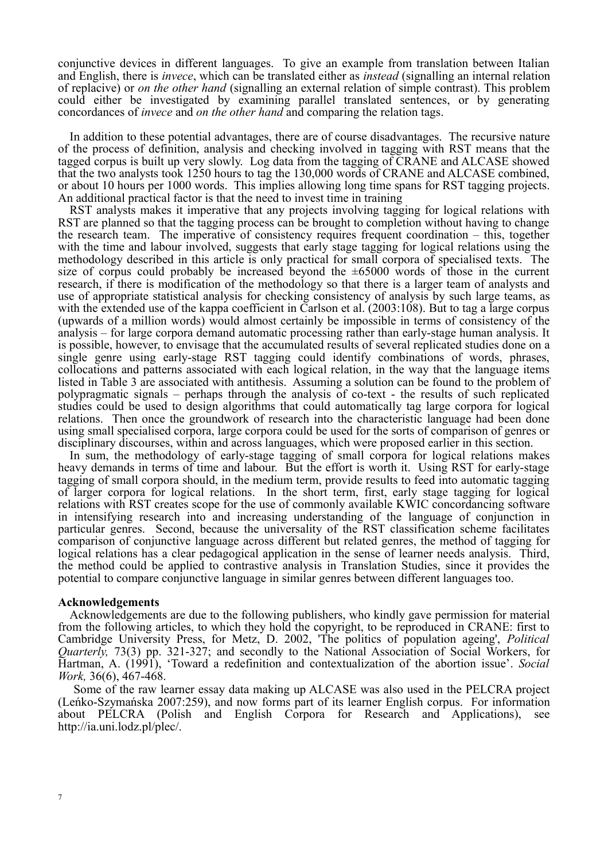conjunctive devices in different languages. To give an example from translation between Italian and English, there is *invece*, which can be translated either as *instead* (signalling an internal relation of replacive) or *on the other hand* (signalling an external relation of simple contrast). This problem could either be investigated by examining parallel translated sentences, or by generating concordances of *invece* and *on the other hand* and comparing the relation tags.

In addition to these potential advantages, there are of course disadvantages. The recursive nature of the process of definition, analysis and checking involved in tagging with RST means that the tagged corpus is built up very slowly. Log data from the tagging of CRANE and ALCASE showed that the two analysts took 1250 hours to tag the 130,000 words of CRANE and ALCASE combined, or about 10 hours per 1000 words. This implies allowing long time spans for RST tagging projects. An additional practical factor is that the need to invest time in training

RST analysts makes it imperative that any projects involving tagging for logical relations with RST are planned so that the tagging process can be brought to completion without having to change the research team. The imperative of consistency requires frequent coordination – this, together with the time and labour involved, suggests that early stage tagging for logical relations using the methodology described in this article is only practical for small corpora of specialised texts. The size of corpus could probably be increased beyond the  $\pm 65000$  words of those in the current research, if there is modification of the methodology so that there is a larger team of analysts and use of appropriate statistical analysis for checking consistency of analysis by such large teams, as with the extended use of the kappa coefficient in Carlson et al. (2003:108). But to tag a large corpus (upwards of a million words) would almost certainly be impossible in terms of consistency of the analysis – for large corpora demand automatic processing rather than early-stage human analysis. It is possible, however, to envisage that the accumulated results of several replicated studies done on a single genre using early-stage RST tagging could identify combinations of words, phrases, collocations and patterns associated with each logical relation, in the way that the language items listed in Table 3 are associated with antithesis. Assuming a solution can be found to the problem of polypragmatic signals – perhaps through the analysis of co-text - the results of such replicated studies could be used to design algorithms that could automatically tag large corpora for logical relations. Then once the groundwork of research into the characteristic language had been done using small specialised corpora, large corpora could be used for the sorts of comparison of genres or disciplinary discourses, within and across languages, which were proposed earlier in this section.

In sum, the methodology of early-stage tagging of small corpora for logical relations makes heavy demands in terms of time and labour. But the effort is worth it. Using RST for early-stage tagging of small corpora should, in the medium term, provide results to feed into automatic tagging of larger corpora for logical relations. In the short term, first, early stage tagging for logical relations with RST creates scope for the use of commonly available KWIC concordancing software in intensifying research into and increasing understanding of the language of conjunction in particular genres. Second, because the universality of the RST classification scheme facilitates comparison of conjunctive language across different but related genres, the method of tagging for logical relations has a clear pedagogical application in the sense of learner needs analysis. Third, the method could be applied to contrastive analysis in Translation Studies, since it provides the potential to compare conjunctive language in similar genres between different languages too.

#### **Acknowledgements**

Acknowledgements are due to the following publishers, who kindly gave permission for material from the following articles, to which they hold the copyright, to be reproduced in CRANE: first to Cambridge University Press, for Metz, D. 2002, 'The politics of population ageing', *Political Quarterly,* 73(3) pp. 321-327; and secondly to the National Association of Social Workers, for Hartman, A. (1991), 'Toward a redefinition and contextualization of the abortion issue'. *Social Work,* 36(6), 467-468.

Some of the raw learner essay data making up ALCASE was also used in the PELCRA project (Leńko-Szymańska 2007:259), and now forms part of its learner English corpus. For information about PELCRA (Polish and English Corpora for Research and Applications), see http://ia.uni.lodz.pl/plec/.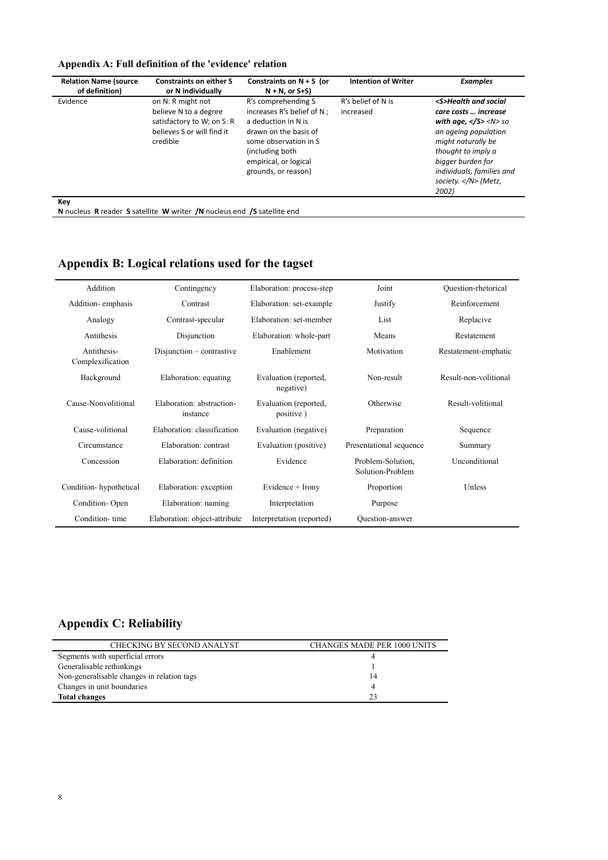|  | Appendix A: Full definition of the 'evidence' relation |  |  |
|--|--------------------------------------------------------|--|--|
|--|--------------------------------------------------------|--|--|

| <b>Relation Name (source</b><br>of definition) | <b>Constraints on either S</b><br>or N individually                                                                | Constraints on $N + S$ (or<br>$N + N$ , or $S + S$                                                                                                                                             | <b>Intention of Writer</b>      | <b>Examples</b>                                                                                                                                                                                                                                                             |
|------------------------------------------------|--------------------------------------------------------------------------------------------------------------------|------------------------------------------------------------------------------------------------------------------------------------------------------------------------------------------------|---------------------------------|-----------------------------------------------------------------------------------------------------------------------------------------------------------------------------------------------------------------------------------------------------------------------------|
| Evidence                                       | on N: R might not<br>believe N to a degree<br>satisfactory to W; on S: R<br>believes S or will find it<br>credible | R's comprehending S<br>increases R's belief of N:<br>a deduction in N is<br>drawn on the basis of<br>some observation in S<br>(including both)<br>empirical, or logical<br>grounds, or reason) | R's belief of N is<br>increased | <s>Health and social<br/>care costs  increase<br/>with age, <math>&lt;</math>/S&gt; <math>&lt;</math>N&gt; so<br/>an ageing population<br/>might naturally be<br/>thought to imply a<br/>bigger burden for<br/>individuals, families and<br/>society.  (Metz,<br/>2002)</s> |

**N** nucleus **R** reader **S** satellite **W** writer **/N** nucleus end **/S** satellite end

# **Appendix B: Logical relations used for the tagset**

| Addition                        | Contingency                           | Elaboration: process-step          | Joint                                 | Question-rhetorical   |
|---------------------------------|---------------------------------------|------------------------------------|---------------------------------------|-----------------------|
| Addition-emphasis               | Contrast                              | Elaboration: set-example           | Justify                               | Reinforcement         |
| Analogy                         | Contrast-specular                     | Elaboration: set-member            | List                                  | Replacive             |
| Antithesis                      | Disjunction                           | Elaboration: whole-part            | Means                                 | Restatement           |
| Antithesis-<br>Complexification | Disjunction $-$ contrastive           | Enablement                         | Motivation                            | Restatement-emphatic  |
| Background                      | Elaboration: equating                 | Evaluation (reported,<br>negative) | Non-result                            | Result-non-volitional |
| Cause-Nonvolitional             | Elaboration: abstraction-<br>instance | Evaluation (reported,<br>positive) | Otherwise                             | Result-volitional     |
| Cause-volitional                | Elaboration: classification           | Evaluation (negative)              | Preparation                           | Sequence              |
| Circumstance                    | Elaboration: contrast                 | Evaluation (positive)              | Presentational sequence               | Summary               |
| Concession                      | Elaboration: definition               | Evidence                           | Problem-Solution,<br>Solution-Problem | Unconditional         |
| Condition-hypothetical          | Elaboration: exception                | Evidence + Irony                   | Proportion                            | Unless                |
| Condition-Open                  | Elaboration: naming                   | Interpretation                     | Purpose                               |                       |
| Condition-time                  | Elaboration: object-attribute         | Interpretation (reported)          | Question-answer                       |                       |

# **Appendix C: Reliability**

| <b>CHECKING BY SECOND ANALYST</b>          | <b>CHANGES MADE PER 1000 UNITS</b> |  |  |
|--------------------------------------------|------------------------------------|--|--|
| Segments with superficial errors           |                                    |  |  |
| Generalisable rethinkings                  |                                    |  |  |
| Non-generalisable changes in relation tags | 14                                 |  |  |
| Changes in unit boundaries                 |                                    |  |  |
| <b>Total changes</b>                       | 23                                 |  |  |